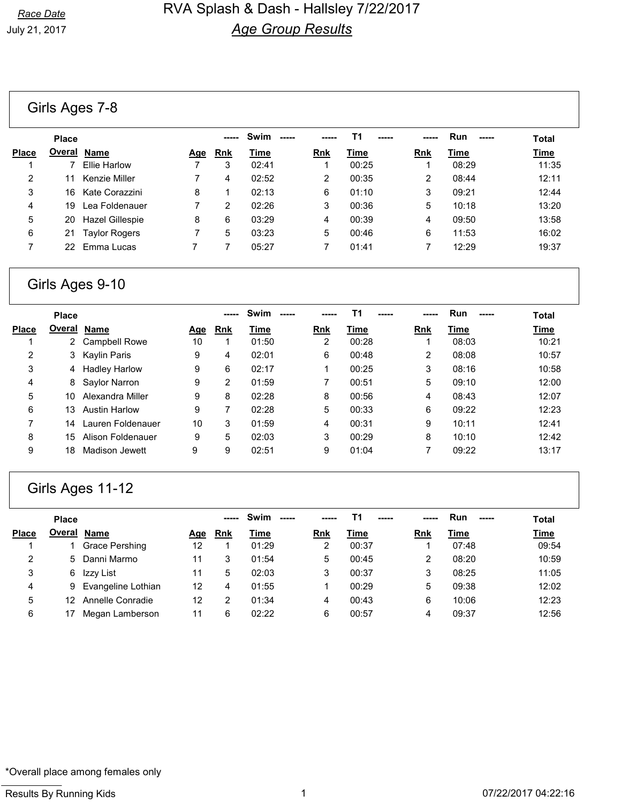#### Girls Ages 7-8

| <b>Place</b> |                      |                                                                                                              |            | Swim  |            | Τ1    |            | <b>Run</b><br>----- | <b>Total</b> |
|--------------|----------------------|--------------------------------------------------------------------------------------------------------------|------------|-------|------------|-------|------------|---------------------|--------------|
|              | Name                 | Age                                                                                                          | <b>Rnk</b> | Time  | <b>Rnk</b> | Time  | <b>Rnk</b> | Time                | <b>Time</b>  |
|              | <b>Ellie Harlow</b>  |                                                                                                              | 3          | 02:41 |            | 00:25 |            | 08:29               | 11:35        |
|              |                      |                                                                                                              | 4          | 02:52 | 2          | 00:35 | 2          | 08:44               | 12:11        |
|              |                      | 8                                                                                                            |            | 02:13 | 6          | 01:10 | 3          | 09:21               | 12:44        |
| 19           |                      |                                                                                                              | 2          | 02:26 | 3          | 00:36 | 5          | 10:18               | 13:20        |
|              |                      | 8                                                                                                            | 6          | 03:29 | 4          | 00:39 | 4          | 09:50               | 13:58        |
| 21           | <b>Taylor Rogers</b> |                                                                                                              | 5          | 03:23 | 5          | 00:46 | 6          | 11:53               | 16:02        |
|              |                      |                                                                                                              |            | 05:27 |            | 01:41 |            | 12:29               | 19:37        |
|              |                      | <u>Overal</u><br>Kenzie Miller<br>16 Kate Corazzini<br>Lea Foldenauer<br>20 Hazel Gillespie<br>22 Emma Lucas |            |       |            |       |            |                     |              |

### Girls Ages 9-10

|              | <b>Place</b> |                      |     |                | Swim  |                | Τ1    |                | <b>Run</b> | <b>Total</b> |
|--------------|--------------|----------------------|-----|----------------|-------|----------------|-------|----------------|------------|--------------|
| <b>Place</b> | Overal       | <b>Name</b>          | Age | <b>Rnk</b>     | Time  | <b>Rnk</b>     | Time  | <b>Rnk</b>     | Time       | <u>Time</u>  |
|              |              | <b>Campbell Rowe</b> | 10  |                | 01:50 | $\overline{2}$ | 00:28 |                | 08:03      | 10:21        |
| 2            | 3            | Kaylin Paris         | 9   | 4              | 02:01 | 6              | 00:48 | $\overline{2}$ | 08:08      | 10:57        |
| 3            | 4            | <b>Hadley Harlow</b> | 9   | 6              | 02:17 |                | 00:25 | 3              | 08:16      | 10:58        |
| 4            | 8            | Saylor Narron        | 9   | $\overline{2}$ | 01:59 |                | 00:51 | 5              | 09:10      | 12:00        |
| 5            | 10           | Alexandra Miller     | 9   | 8              | 02:28 | 8              | 00:56 | 4              | 08:43      | 12:07        |
| 6            | 13           | <b>Austin Harlow</b> | 9   |                | 02:28 | 5              | 00:33 | 6              | 09:22      | 12:23        |
| 7            | 14           | Lauren Foldenauer    | 10  | 3              | 01:59 | 4              | 00:31 | 9              | 10:11      | 12:41        |
| 8            | 15           | Alison Foldenauer    | 9   | 5              | 02:03 | 3              | 00:29 | 8              | 10:10      | 12:42        |
| 9            | 18           | Madison Jewett       | 9   | 9              | 02:51 | 9              | 01:04 |                | 09:22      | 13:17        |

# Girls Ages 11-12

|              | <b>Place</b>       |                      |     | ----- | Swim<br>$\frac{1}{2}$ |            | Τ1    |     | <b>Run</b> | <b>Total</b> |
|--------------|--------------------|----------------------|-----|-------|-----------------------|------------|-------|-----|------------|--------------|
| <b>Place</b> | <b>Overal Name</b> |                      | Age | Rnk   | Time                  | <b>Rnk</b> | Time  | Rnk | Time       | <b>Time</b>  |
|              |                    | Grace Pershing       | 12  |       | 01:29                 | 2          | 00:37 |     | 07:48      | 09:54        |
| 2            | 5.                 | Danni Marmo          | 11  | 3     | 01:54                 | 5          | 00:45 | 2   | 08:20      | 10:59        |
| 3            | 6                  | Izzy List            | 11  | 5     | 02:03                 | 3          | 00:37 | 3   | 08:25      | 11:05        |
| 4            |                    | 9 Evangeline Lothian | 12  | 4     | 01:55                 |            | 00:29 | 5   | 09:38      | 12:02        |
| 5            | 12                 | Annelle Conradie     | 12  |       | 01:34                 | 4          | 00:43 | 6   | 10:06      | 12:23        |
| 6            |                    | Megan Lamberson      | 11  | 6     | 02:22                 | 6          | 00:57 | 4   | 09:37      | 12:56        |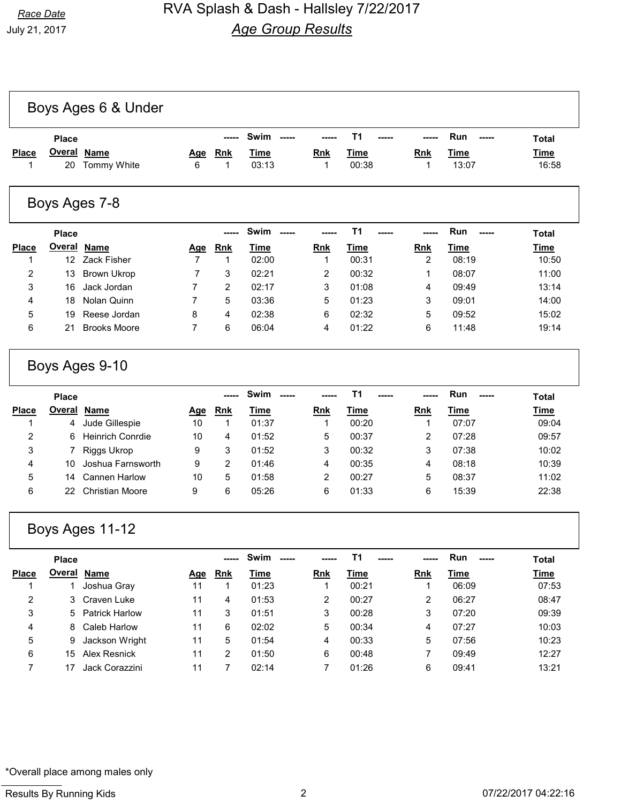|                | <b>Place</b>        |                            |                | -----           | Swim                 |                 | <b>T1</b>      |                 | Run<br>-----         | <b>Total</b>         |
|----------------|---------------------|----------------------------|----------------|-----------------|----------------------|-----------------|----------------|-----------------|----------------------|----------------------|
| <b>Place</b>   | <b>Overal</b><br>20 | <b>Name</b><br>Tommy White | Age<br>6       | <b>Rnk</b><br>1 | <b>Time</b><br>03:13 | <b>Rnk</b><br>1 | Time<br>00:38  | <b>Rnk</b><br>1 | <b>Time</b><br>13:07 | <b>Time</b><br>16:58 |
|                |                     | Boys Ages 7-8              |                |                 |                      |                 |                |                 |                      |                      |
|                |                     |                            |                |                 |                      |                 |                |                 |                      |                      |
|                | <b>Place</b>        |                            |                |                 | <b>Swim</b>          |                 | T <sub>1</sub> |                 | Run                  | <b>Total</b>         |
| <b>Place</b>   | <b>Overal</b>       | <b>Name</b>                | Age            | <b>Rnk</b>      | <b>Time</b>          | <b>Rnk</b>      | <u>Time</u>    | <b>Rnk</b>      | <b>Time</b>          | <b>Time</b>          |
|                | 12                  | Zack Fisher                | $\overline{7}$ | 1               | 02:00                | 1               | 00:31          | 2               | 08:19                | 10:50                |
| $\overline{2}$ | 13                  | <b>Brown Ukrop</b>         | 7              | 3               | 02:21                | 2               | 00:32          | 1               | 08:07                | 11:00                |
| 3              | 16                  | Jack Jordan                | $\overline{7}$ | $\overline{2}$  | 02:17                | 3               | 01:08          | 4               | 09:49                | 13:14                |
| 4              | 18                  | Nolan Quinn                | $\overline{7}$ | 5               | 03:36                | 5               | 01:23          | 3               | 09:01                | 14:00                |
| 5              | 19                  | Reese Jordan               | 8              | 4               | 02:38                | 6               | 02:32          | 5               | 09:52                | 15:02                |

|              | <b>Place</b> |                         |     |            | Swim  |            |       |            | <b>Run</b><br>----- | <b>Total</b> |
|--------------|--------------|-------------------------|-----|------------|-------|------------|-------|------------|---------------------|--------------|
| <b>Place</b> | Overal       | Name                    | Age | <b>Rnk</b> | Time  | <b>Rnk</b> | Time  | <b>Rnk</b> | Time                | <b>Time</b>  |
|              | 4            | Jude Gillespie          | 10  |            | 01:37 |            | 00:20 |            | 07:07               | 09:04        |
| 2            | 6            | <b>Heinrich Conrdie</b> | 10  | 4          | 01:52 | 5          | 00:37 | າ          | 07:28               | 09:57        |
| 3            |              | Riggs Ukrop             | 9   | 3          | 01:52 | 3          | 00:32 | 3          | 07:38               | 10:02        |
| 4            | 10           | Joshua Farnsworth       | 9   | 2          | 01:46 | 4          | 00:35 | 4          | 08:18               | 10:39        |
| 5            | 14           | Cannen Harlow           | 10  | 5          | 01:58 | 2          | 00:27 | 5          | 08:37               | 11:02        |
| 6            | 22           | Christian Moore         | 9   | 6          | 05:26 | 6          | 01:33 | 6          | 15:39               | 22:38        |

## Boys Ages 11-12

|              | <b>Place</b> |                  |     |            | Swim<br>----- |            | т1    | -----      | <b>Run</b> | <b>Total</b> |
|--------------|--------------|------------------|-----|------------|---------------|------------|-------|------------|------------|--------------|
| <b>Place</b> | Overal       | <b>Name</b>      | Age | <b>Rnk</b> | Time          | <b>Rnk</b> | Time  | <b>Rnk</b> | Time       | <b>Time</b>  |
|              |              | Joshua Gray      | 11  |            | 01:23         |            | 00:21 |            | 06:09      | 07:53        |
| 2            | 3            | Craven Luke      | 11  | 4          | 01:53         | 2          | 00:27 | 2          | 06:27      | 08:47        |
| 3            |              | 5 Patrick Harlow | 11  | 3          | 01:51         | 3          | 00:28 | 3          | 07:20      | 09:39        |
| 4            | 8.           | Caleb Harlow     | 11  | 6          | 02:02         | 5          | 00:34 | 4          | 07:27      | 10:03        |
| 5            | 9            | Jackson Wright   | 11  | 5          | 01:54         | 4          | 00:33 | 5          | 07:56      | 10:23        |
| 6            | 15           | Alex Resnick     | 11  | 2          | 01:50         | 6          | 00:48 |            | 09:49      | 12:27        |
|              |              | Jack Corazzini   | 11  |            | 02:14         |            | 01:26 | 6          | 09:41      | 13:21        |